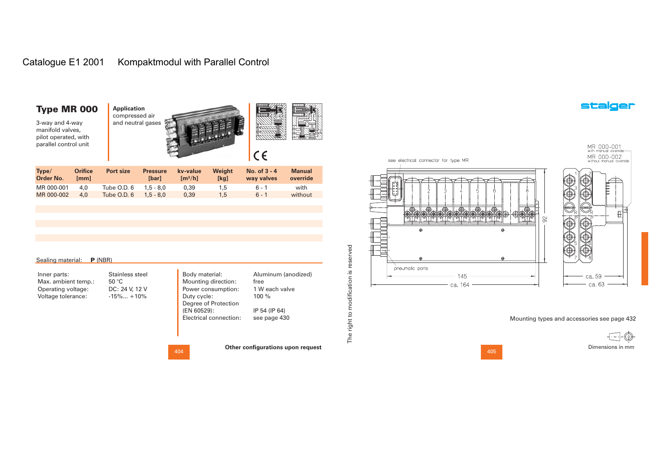# Catalogue E1 2001 Kompaktmodul with Parallel Control

### Type MR 000

3-way and 4-way manifold valves, pilot operated, with parallel control unit





| Type/<br>Order No. | <b>Orifice</b><br>[mm] | Port size   | <b>Pressure</b><br>[bar] | kv-value<br>$\mathrm{Im}^3/\mathrm{hl}$ | Weight<br>[kg] | No. of $3 - 4$<br>way valves | <b>Manual</b><br>override |
|--------------------|------------------------|-------------|--------------------------|-----------------------------------------|----------------|------------------------------|---------------------------|
| MR 000-001         | 4.0                    | Tube O.D. 6 | $1.5 - 8.0$              | 0.39                                    | 1.5            | $6 - 1$                      | with                      |
| MR 000-002         | 4.0                    | Tube O.D. 6 | $1.5 - 8.0$              | 0.39                                    | 1.5            | $6 - 1$                      | without                   |

| Sealing material: | $P$ (NBR) |  |
|-------------------|-----------|--|
|                   |           |  |

50 °C

Inner parts: Max. ambient temp.: Operating voltage: Voltage tolerance:

Body mat Mounting Power con Duty cycle: Degree of (EN 60529) Stainless steel DC: 24 V, 12 V  $-15\%... +10\%$ 

| erial:      | Aluminum (anodized) |
|-------------|---------------------|
| direction:  | free                |
| nsumption:  | 1 W each valve      |
| э:          | 100 $%$             |
| Protection  |                     |
| 3):         | IP 54 (IP 64)       |
| connection: | see page 430        |
|             |                     |

404

Electrical

**Other configurations upon request**



see electrical connector for type MR



Mounting types and accessories see page 432

. . . . . Dimensions in mm

405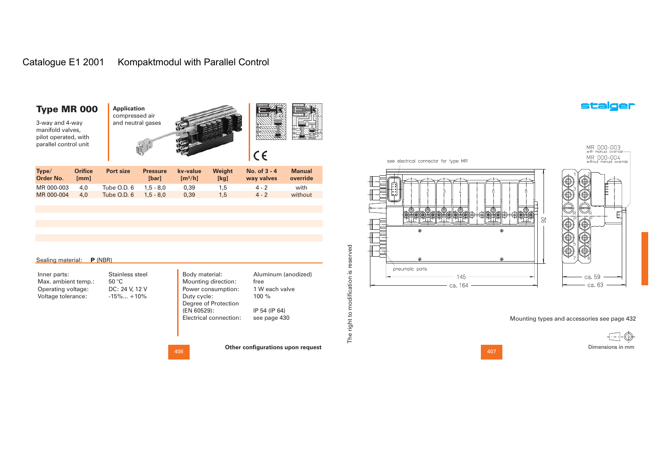# Catalogue E1 2001 Kompaktmodul with Parallel Control

| Type MR 000<br>3-way and 4-way<br>manifold valves,<br>pilot operated, with<br>parallel control unit |                        | <b>Application</b><br>compressed air<br>and neutral gases |                          |                                          |                | $C \in$                      |                           |
|-----------------------------------------------------------------------------------------------------|------------------------|-----------------------------------------------------------|--------------------------|------------------------------------------|----------------|------------------------------|---------------------------|
| Type/<br><b>Order No.</b>                                                                           | <b>Orifice</b><br>[mm] | Port size                                                 | <b>Pressure</b><br>[bar] | kv-value<br>$\left[\frac{m^3}{h}\right]$ | Weight<br>[kg] | No. of $3 - 4$<br>way valves | <b>Manual</b><br>override |
| MR 000-003                                                                                          | 4.0                    | Tube O.D. 6                                               | $1.5 - 8.0$              | 0,39                                     | 1,5            | $4 - 2$                      | with                      |
| MR 000-004                                                                                          | 4,0                    | Tube O.D. 6                                               | $1.5 - 8.0$              | 0,39                                     | 1,5            | $4 - 2$                      | without                   |

| Sealing material: | $P$ (NBR) |  |
|-------------------|-----------|--|
|                   |           |  |

50 °C

Inner parts: Max. ambient temp.: Operating voltage: Voltage tolerance:

Duty cycle: Stainless steel DC: 24 V, 12 V  $-15\%... +10\%$ 

Body material: Mounting direction: Power consumption: Degree of Protection (EN 60529): Electrical connection: Aluminum (anodized) free 1 W each valve100 %IP 54 (IP 64) see page 430

**Other configurations upon request**



see electrical connector for type MR

Mounting types and accessories see page 432

. . . . . Dimensions in mm

407

MR 000-003<br>with manual override—<br>MR 000-004<br>without manual override

 $\mathbb{H}^*$